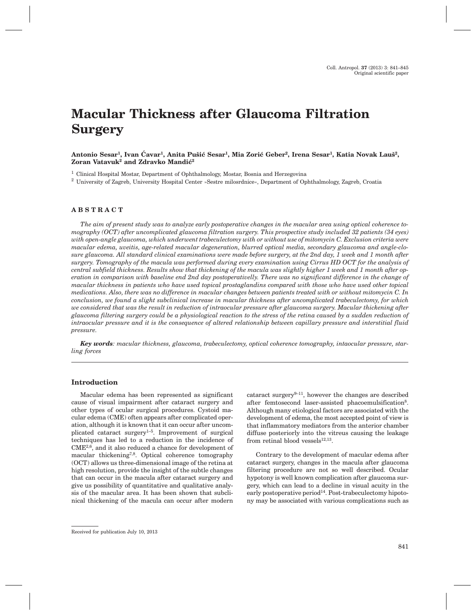# **Macular Thickness after Glaucoma Filtration Surgery**

# Antonio Sesar<sup>1</sup>, Ivan Ćavar<sup>1</sup>, Anita Pušić Sesar<sup>1</sup>, Mia Zorić Geber<sup>2</sup>, Irena Sesar<sup>1</sup>, Katia Novak Lauš<sup>2</sup>, Zoran Vatavuk<sup>2</sup> and Zdravko Mandić<sup>2</sup>

<sup>1</sup> Clinical Hospital Mostar, Department of Ophthalmology, Mostar, Bosnia and Herzegovina

<sup>2</sup> University of Zagreb, University Hospital Center »Sestre milosrdnice«, Department of Ophthalmology, Zagreb, Croatia

# **ABSTRACT**

*The aim of present study was to analyze early postoperative changes in the macular area using optical coherence tomography (OCT) after uncomplicated glaucoma filtration surgery. This prospective study included 32 patients (34 eyes) with open-angle glaucoma, which underwent trabeculectomy with or without use of mitomycin C. Exclusion criteria were macular edema, uveitis, age-related macular degeneration, blurred optical media, secondary glaucoma and angle-closure glaucoma. All standard clinical examinations were made before surgery, at the 2nd day, 1 week and 1 month after surgery. Tomography of the macula was performed during every examination using Cirrus HD OCT for the analysis of central subfield thickness. Results show that thickening of the macula was slightly higher 1 week and 1 month after operation in comparison with baseline end 2nd day postoperativelly. There was no significant difference in the change of macular thickness in patients who have used topical prostaglandins compared with those who have used other topical medications. Also, there was no difference in macular changes between patients treated with or without mitomycin C. In conclusion, we found a slight subclinical increase in macular thickness after uncomplicated trabeculectomy, for which we considered that was the result in reduction of intraocular pressure after glaucoma surgery. Macular thickening after glaucoma filtering surgery could be a physiological reaction to the stress of the retina caused by a sudden reduction of intraocular pressure and it is the consequence of altered relationship between capillary pressure and interstitial fluid pressure.*

*Key words: macular thickness, glaucoma, trabeculectomy, optical coherence tomography, intaocular pressure, starling forces*

## **Introduction**

Macular edema has been represented as significant cause of visual impairment after cataract surgery and other types of ocular surgical procedures. Cystoid macular edema (CME) often appears after complicated operation, although it is known that it can occur after uncomplicated cataract surgery<sup>1-5</sup>. Improvement of surgical techniques has led to a reduction in the incidence of CME2,6, and it also reduced a chance for development of macular thickening<sup>7,8</sup>. Optical coherence tomography (OCT) allows us three-dimensional image of the retina at high resolution, provide the insight of the subtle changes that can occur in the macula after cataract surgery and give us possibility of quantitative and qualitative analysis of the macular area. It has been shown that subclinical thickening of the macula can occur after modern

cataract surgery9–11, however the changes are described after femtosecond laser-assisted phacoemulsification<sup>8</sup>. Although many etiological factors are associated with the development of edema, the most accepted point of view is that inflammatory mediators from the anterior chamber diffuse posteriorly into the vitreus causing the leakage from retinal blood vessels $12,13$ .

Contrary to the development of macular edema after cataract surgery, changes in the macula after glaucoma filtering procedure are not so well described. Ocular hypotony is well known complication after glaucoma surgery, which can lead to a decline in visual acuity in the early postoperative period<sup>14</sup>. Post-trabeculectomy hipotony may be associated with various complications such as

Received for publication July 10, 2013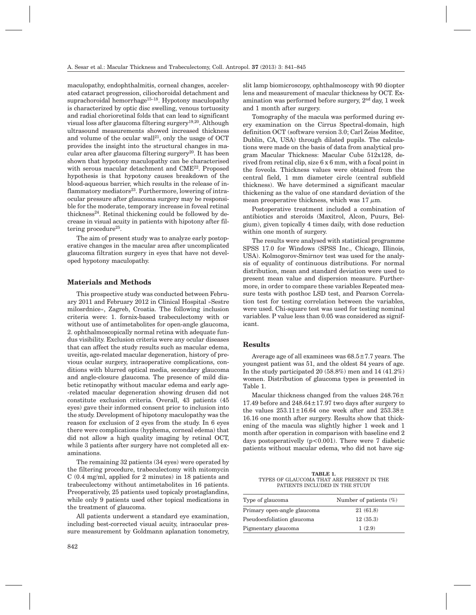maculopathy, endophthalmitis, corneal changes, accelerated cataract progression, ciliochoroidal detachment and suprachoroidal hemorrhage<sup>15-18</sup>. Hypotony maculopathy is characterized by optic disc swelling, venous tortuosity and radial chorioretinal folds that can lead to significant visual loss after glaucoma filtering surgery19,20. Although ultrasound measurements showed increased thickness and volume of the ocular wall<sup>21</sup>, only the usage of  $OCT$ provides the insight into the structural changes in macular area after glaucoma filtering surgery<sup>20</sup>. It has been shown that hypotony maculopathy can be characterised with serous macular detachment and CME22. Proposed hypothesis is that hypotony causes breakdown of the blood-aqueous barrier, which results in the release of inflammatory mediators $23$ . Furthermore, lowering of intraocular pressure after glaucoma surgery may be responsible for the moderate, temporary increase in foveal retinal thickness<sup>24</sup>. Retinal thickening could be followed by decrease in visual acuity in patients with hipotony after filtering procedure<sup>25</sup>.

The aim of present study was to analyze early postoperative changes in the macular area after uncomplicated glaucoma filtration surgery in eyes that have not developed hypotony maculopathy.

## **Materials and Methods**

This prospective study was conducted between February 2011 and February 2012 in Clinical Hospital »Sestre milosrdnice«, Zagreb, Croatia. The following inclusion criteria were: 1. fornix-based trabeculectomy with or without use of antimetabolites for open-angle glaucoma, 2. ophthalmoscopically normal retina with adequate fundus visibility. Exclusion criteria were any ocular diseases that can affect the study results such as macular edema, uveitis, age-related macular degeneration, history of previous ocular surgery, intraoperative complications, conditions with blurred optical media, secondary glaucoma and angle-closure glaucoma. The presence of mild diabetic retinopathy without macular edema and early age- -related macular degeneration showing drusen did not constitute exclusion criteria. Overall, 43 patients (45 eyes) gave their informed consent prior to inclusion into the study. Development of hipotony maculopathy was the reason for exclusion of 2 eyes from the study. In 6 eyes there were complications (hyphema, corneal edema) that did not allow a high quality imaging by retinal OCT, while 3 patients after surgery have not completed all examinations.

The remaining 32 patients (34 eyes) were operated by the filtering procedure, trabeculectomy with mitomycin C (0.4 mg/ml, applied for 2 minutes) in 18 patients and trabeculectomy without antimetabolites in 16 patients. Preoperatively, 25 patients used topicaly prostaglandins, while only 9 patients used other topical medications in the treatment of glaucoma.

All patients underwent a standard eye examination, including best-corrected visual acuity, intraocular pressure measurement by Goldmann aplanation tonometry,

slit lamp biomicroscopy, ophthalmoscopy with 90 diopter lens and measurement of macular thickness by OCT. Examination was performed before surgery,  $2<sup>nd</sup>$  day, 1 week and 1 month after surgery.

Tomography of the macula was performed during every examination on the Cirrus Spectral-domain, high definition OCT (software version 3.0; Carl Zeiss Meditec, Dublin, CA, USA) through dilated pupils. The calculations were made on the basis of data from analytical program Macular Thickness: Macular Cube 512x128, derived from retinal clip, size 6 x 6 mm, with a focal point in the foveola. Thickness values were obtained from the central field, 1 mm diameter circle (central subfield thickness). We have determined a significant macular thickening as the value of one standard deviation of the mean preoperative thickness, which was  $17 \mu m$ .

Postoperative treatment included a combination of antibiotics and steroids (Maxitrol, Alcon, Puurs, Belgium), given topically 4 times daily, with dose reduction within one month of surgery.

The results were analysed with statistical programme SPSS 17.0 for Windows (SPSS Inc., Chicago, Illinois, USA). Kolmogorov-Smirnov test was used for the analysis of equality of continuous distributions. For normal distribution, mean and standard deviation were used to present mean value and dispersion measure. Furthermore, in order to compare these variables Repeated measure tests with posthoc LSD test, and Pearson Correlation test for testing correlation between the variables, were used. Chi-square test was used for testing nominal variables. P value less than 0.05 was considered as significant.

## **Results**

Average age of all examinees was  $68.5 \pm 7.7$  years. The youngest patient was 51, and the oldest 84 years of age. In the study participated 20 (58.8%) men and 14 (41.2%) women. Distribution of glaucoma types is presented in Table 1.

Macular thickness changed from the values 248.76± 17.49 before and  $248.64 \pm 17.97$  two days after surgery to the values  $253.11 \pm 16.64$  one week after and  $253.38 \pm$ 16.16 one month after surgery. Results show that thickening of the macula was slightly higher 1 week and 1 month after operation in comparison with baseline end 2 days postoperativelly (p<0.001). There were 7 diabetic patients without macular edema, who did not have sig-

**TABLE 1.** TYPES OF GLAUCOMA THAT ARE PRESENT IN THE PATIENTS INCLUDED IN THE STUDY

| Type of glaucoma            | Number of patients $(\%)$ |
|-----------------------------|---------------------------|
| Primary open-angle glaucoma | 21(61.8)                  |
| Pseudoexfoliation glaucoma  | 12(35.3)                  |
| Pigmentary glaucoma         | 1(2.9)                    |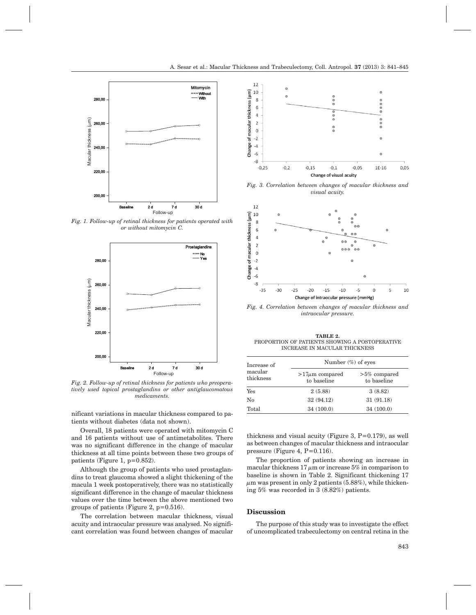

*Fig. 1. Follow-up of retinal thickness for patients operated with or without mitomycin C.*



*Fig. 2. Follow-up of retinal thickness for patients who preoperatively used topical prostaglandins or other antiglaucomatous medicaments.*

nificant variations in macular thickness compared to patients without diabetes (data not shown).

Overall, 18 patients were operated with mitomycin C and 16 patients without use of antimetabolites. There was no significant difference in the change of macular thickness at all time points between these two groups of patients (Figure 1,  $p=0.852$ ).

Although the group of patients who used prostaglandins to treat glaucoma showed a slight thickening of the macula 1 week postoperatively, there was no statistically significant difference in the change of macular thickness values over the time between the above mentioned two groups of patients (Figure 2,  $p=0.516$ ).

The correlation between macular thickness, visual acuity and intraocular pressure was analysed. No significant correlation was found between changes of macular



*Fig. 3. Correlation between changes of macular thickness and visual acuity.*



*Fig. 4. Correlation between changes of macular thickness and intraocular pressure.*

**TABLE 2.** PROPORTION OF PATIENTS SHOWING A POSTOPERATIVE INCREASE IN MACULAR THICKNESS

| Increase of<br>macular<br>thickness | Number $(\%)$ of eyes              |                                |
|-------------------------------------|------------------------------------|--------------------------------|
|                                     | $>17\mu m$ compared<br>to baseline | $>5\%$ compared<br>to baseline |
| Yes                                 | 2(5.88)                            | 3(8.82)                        |
| No                                  | 32 (94.12)                         | 31(91.18)                      |
| Total                               | 34(100.0)                          | 34(100.0)                      |

thickness and visual acuity (Figure 3,  $P=0.179$ ), as well as between changes of macular thickness and intraocular pressure (Figure 4, P=0.116).

The proportion of patients showing an increase in macular thickness  $17 \mu m$  or increase 5% in comparison to baseline is shown in Table 2. Significant thickening 17  $\mu$ m was present in only 2 patients (5.88%), while thickening 5% was recorded in 3 (8.82%) patients.

#### **Discussion**

The purpose of this study was to investigate the effect of uncomplicated trabeculectomy on central retina in the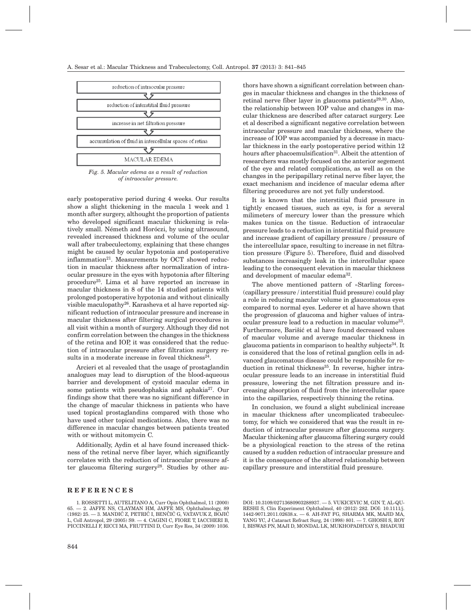

*Fig. 5. Macular edema as a result of reduction of intraocular pressure.*

early postoperative period during 4 weeks. Our results show a slight thickening in the macula 1 week and 1 month after surgery, althought the proportion of patients who developed significant macular thickening is relatively small. Németh and Horóczi, by using ultrasound, revealed increased thickness and volume of the ocular wall after trabeculectomy, explaining that these changes might be caused by ocular hypotonia and postoperative inflammation $21$ . Measurements by OCT showed reduction in macular thickness after normalization of intraocular pressure in the eyes with hypotonia after filtering procedure25. Lima et al have reported an increase in macular thickness in 8 of the 14 studied patients with prolonged postoperative hypotonia and without clinically visible maculopathy26. Karasheva et al have reported significant reduction of intraocular pressure and increase in macular thickness after filtering surgical procedures in all visit within a month of surgery. Although they did not confirm correlation between the changes in the thickness of the retina and IOP, it was considered that the reduction of intraocular pressure after filtration surgery results in a moderate increase in foveal thickness $24$ .

Arcieri et al revealed that the usage of prostaglandin analogues may lead to disruption of the blood-aqueous barrier and development of cystoid macular edema in some patients with pseudophakia and aphakia<sup>27</sup>. Our findings show that there was no significant difference in the change of macular thickness in patients who have used topical prostaglandins compared with those who have used other topical medications. Also, there was no difference in macular changes between patients treated with or without mitomycin C.

Additionally, Aydin et al have found increased thickness of the retinal nerve fiber layer, which significantly correlates with the reduction of intraocular pressure after glaucoma filtering surgery<sup>28</sup>. Studies by other au-

## **REFERENCES**

thors have shown a significant correlation between changes in macular thickness and changes in the thickness of retinal nerve fiber layer in glaucoma patients<sup>29,30</sup>. Also, the relationship between IOP value and changes in macular thickness are described after cataract surgery. Lee et al described a significant negative correlation between intraocular pressure and macular thickness, where the increase of IOP was accompanied by a decrease in macular thickness in the early postoperative period within 12 hours after phacoemulsification<sup>31</sup>. Albeit the attention of researchers was mostly focused on the anterior segement of the eye and related complications, as well as on the changes in the peripapillary retinal nerve fiber layer, the exact mechanism and incidence of macular edema after filtering procedures are not yet fully understood.

It is known that the interstitial fluid pressure in tightly encased tissues, such as eye, is for a several milimeters of mercury lower than the pressure which makes tunica on the tissue. Reduction of intraocular pressure leads to a reduction in interstitial fluid pressure and increase gradient of capillary pressure / pressure of the intercellular space, resulting to increase in net filtration pressure (Figure 5). Therefore, fluid and dissolved substances increasingly leak in the intercellular space leading to the consequent elevation in macular thickness and development of macular edema32.

The above mentioned pattern of »Starling forces« (capillary pressure / interstitial fluid pressure) could play a role in reducing macular volume in glaucomatous eyes compared to normal eyes. Lederer et al have shown that the progression of glaucoma and higher values of intraocular pressure lead to a reduction in macular volume<sup>33</sup>. Furthermore, Barišić et al have found decreased values of macular volume and average macular thickness in glaucoma patients in comparison to healthy subjects<sup>34</sup>. It is considered that the loss of retinal ganglion cells in advanced glaucomatous disease could be responsible for reduction in retinal thickness<sup>35</sup>. In reverse, higher intraocular pressure leads to an increase in interstitial fluid pressure, lowering the net filtration pressure and increasing absorption of fluid from the intercellular space into the capillaries, respectively thinning the retina.

In conclusion, we found a slight subclinical increase in macular thickness after uncomplicated trabeculectomy, for which we considered that was the result in reduction of intraocular pressure after glaucoma surgery. Macular thickening after glaucoma filtering surgery could be a physiological reaction to the stress of the retina caused by a sudden reduction of intraocular pressure and it is the consequence of the altered relationship between capillary pressure and interstitial fluid pressure.

DOI: 10.3109/02713680903288937. — 5. VUKICEVIC M, GIN T, AL-QU-RESHI S, Clin Experiment Ophthalmol, 40 (2012) 282. DOI: 10.1111/j. 1442-9071.2011.02638.x. — 6. AH-FAT FG, SHARMA MK, MAJID MA, YANG YC, J Cataract Refract Surg, 24 (1998) 801. — 7. GHOSH S, ROY I, BISWAS PN, MAJI D, MONDAL LK, MUKHOPADHYAY S, BHADURI

<sup>1.</sup> ROSSETTI L, AUTELITANO A, Curr Opin Ophthalmol, 11 (2000) 65. — 2. JAFFE NS, CLAYMAN HM, JAFFE MS, Ophthalmology, 89  $(1982)$  25.  $-$  3. MANDIĆ Z, PETRIĆ I, BENČIĆ G, VATAVUK Z, BOJIĆ L, Coll Antropol, 29 (2005) S9. — 4. CAGINI C, FIORE T, IACCHERI B, PICCINELLI F, RICCI MA, FRUTTINI D, Curr Eye Res, 34 (2009) 1036.